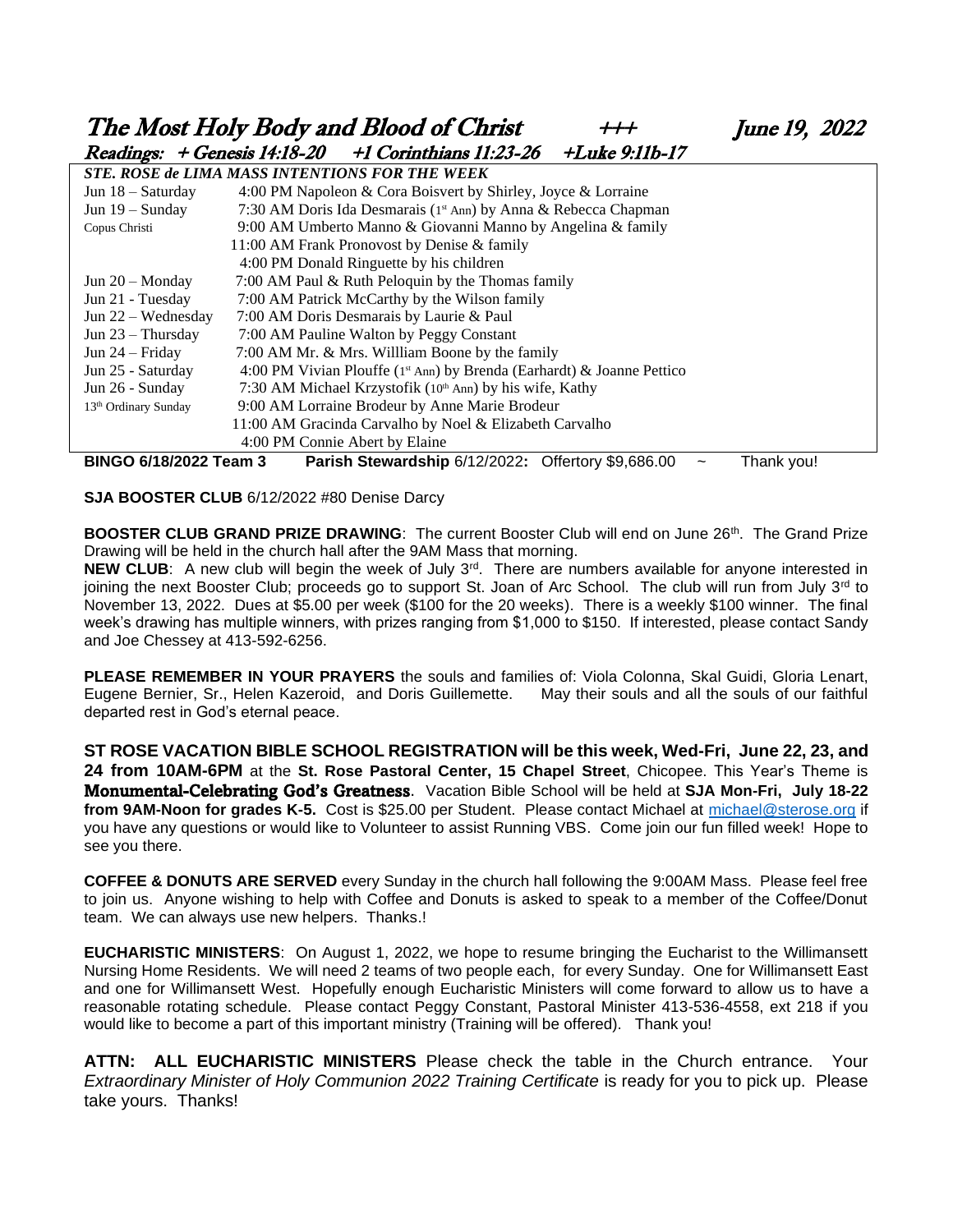The Most Holy Body and Blood of Christ  $+++$  June 19, 2022<br>Readings: + Genesis 14:18-20 +1 Corinthians 11:23-26 + Juke 9:11b-17  $Reading: + Genesis 14.18-20 +1$  Corinthians 11:23-26 + Luke 9:11b-17

|                                  | <i>' בטגנוס ישמשע</i>                                                     |  |  |  |  |  |  |  |  |  |  |
|----------------------------------|---------------------------------------------------------------------------|--|--|--|--|--|--|--|--|--|--|
|                                  | <b>STE. ROSE de LIMA MASS INTENTIONS FOR THE WEEK</b>                     |  |  |  |  |  |  |  |  |  |  |
| Jun $18 -$ Saturday              | 4:00 PM Napoleon & Cora Boisvert by Shirley, Joyce & Lorraine             |  |  |  |  |  |  |  |  |  |  |
| Jun $19 -$ Sunday                | 7:30 AM Doris Ida Desmarais (1st Ann) by Anna & Rebecca Chapman           |  |  |  |  |  |  |  |  |  |  |
| Copus Christi                    | 9:00 AM Umberto Manno & Giovanni Manno by Angelina & family               |  |  |  |  |  |  |  |  |  |  |
|                                  | 11:00 AM Frank Pronovost by Denise & family                               |  |  |  |  |  |  |  |  |  |  |
|                                  | 4:00 PM Donald Ringuette by his children                                  |  |  |  |  |  |  |  |  |  |  |
| Jun $20 -$ Monday                | 7:00 AM Paul & Ruth Peloquin by the Thomas family                         |  |  |  |  |  |  |  |  |  |  |
| Jun 21 - Tuesday                 | 7:00 AM Patrick McCarthy by the Wilson family                             |  |  |  |  |  |  |  |  |  |  |
| Jun $22$ – Wednesday             | 7:00 AM Doris Desmarais by Laurie & Paul                                  |  |  |  |  |  |  |  |  |  |  |
| Jun $23$ – Thursday              | 7:00 AM Pauline Walton by Peggy Constant                                  |  |  |  |  |  |  |  |  |  |  |
| Jun $24 -$ Friday                | 7:00 AM Mr. & Mrs. Willliam Boone by the family                           |  |  |  |  |  |  |  |  |  |  |
| Jun 25 - Saturday                | 4:00 PM Vivian Plouffe ( $1st$ Ann) by Brenda (Earhardt) & Joanne Pettico |  |  |  |  |  |  |  |  |  |  |
| Jun 26 - Sunday                  | 7:30 AM Michael Krzystofik (10 <sup>th</sup> Ann) by his wife, Kathy      |  |  |  |  |  |  |  |  |  |  |
| 13 <sup>th</sup> Ordinary Sunday | 9:00 AM Lorraine Brodeur by Anne Marie Brodeur                            |  |  |  |  |  |  |  |  |  |  |
|                                  | 11:00 AM Gracinda Carvalho by Noel & Elizabeth Carvalho                   |  |  |  |  |  |  |  |  |  |  |
|                                  | 4:00 PM Connie Abert by Elaine                                            |  |  |  |  |  |  |  |  |  |  |
|                                  | .                                                                         |  |  |  |  |  |  |  |  |  |  |

**BINGO 6/18/2022 Team 3****Parish Stewardship** 6/12/2022**:** Offertory \$9,686.00 ~ Thank you!

**SJA BOOSTER CLUB** 6/12/2022 #80 Denise Darcy

**BOOSTER CLUB GRAND PRIZE DRAWING:** The current Booster Club will end on June 26<sup>th</sup>. The Grand Prize Drawing will be held in the church hall after the 9AM Mass that morning.

**NEW CLUB:** A new club will begin the week of July 3<sup>rd</sup>. There are numbers available for anyone interested in joining the next Booster Club; proceeds go to support St. Joan of Arc School. The club will run from July 3<sup>rd</sup> to November 13, 2022. Dues at \$5.00 per week (\$100 for the 20 weeks). There is a weekly \$100 winner. The final week's drawing has multiple winners, with prizes ranging from \$1,000 to \$150. If interested, please contact Sandy and Joe Chessey at 413-592-6256.

**PLEASE REMEMBER IN YOUR PRAYERS** the souls and families of: Viola Colonna, Skal Guidi, Gloria Lenart, Eugene Bernier, Sr., Helen Kazeroid, and Doris Guillemette. May their souls and all the souls of our faithful departed rest in God's eternal peace.

**ST ROSE VACATION BIBLE SCHOOL REGISTRATION will be this week, Wed-Fri, June 22, 23, and 24 from 10AM-6PM** at the **St. Rose Pastoral Center, 15 Chapel Street**, Chicopee. This Year's Theme is Monumental-Celebrating God's Greatness. Vacation Bible School will be held at **SJA Mon-Fri, July 18-22 from 9AM-Noon for grades K-5.** Cost is \$25.00 per Student. Please contact Michael at [michael@sterose.org](mailto:michael@sterose.org) if you have any questions or would like to Volunteer to assist Running VBS. Come join our fun filled week! Hope to see you there.

**COFFEE & DONUTS ARE SERVED** every Sunday in the church hall following the 9:00AM Mass. Please feel free to join us. Anyone wishing to help with Coffee and Donuts is asked to speak to a member of the Coffee/Donut team. We can always use new helpers. Thanks.!

**EUCHARISTIC MINISTERS**: On August 1, 2022, we hope to resume bringing the Eucharist to the Willimansett Nursing Home Residents. We will need 2 teams of two people each, for every Sunday. One for Willimansett East and one for Willimansett West. Hopefully enough Eucharistic Ministers will come forward to allow us to have a reasonable rotating schedule. Please contact Peggy Constant, Pastoral Minister 413-536-4558, ext 218 if you would like to become a part of this important ministry (Training will be offered). Thank you!

**ATTN: ALL EUCHARISTIC MINISTERS** Please check the table in the Church entrance. Your *Extraordinary Minister of Holy Communion 2022 Training Certificate* is ready for you to pick up. Please take yours. Thanks!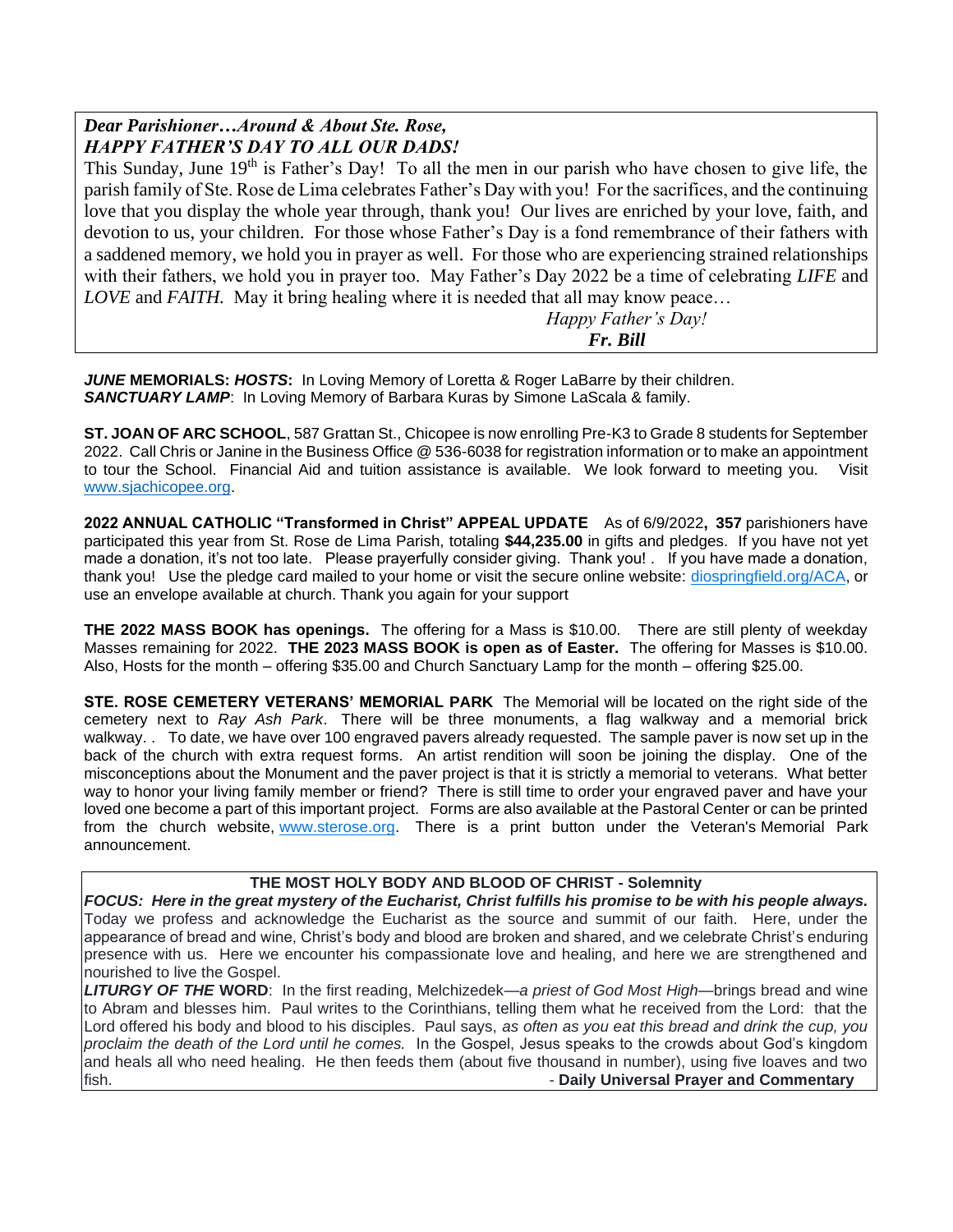## *Dear Parishioner…Around & About Ste. Rose, HAPPY FATHER'S DAY TO ALL OUR DADS!*

This Sunday, June  $19<sup>th</sup>$  is Father's Day! To all the men in our parish who have chosen to give life, the parish family of Ste. Rose de Lima celebrates Father's Day with you! For the sacrifices, and the continuing love that you display the whole year through, thank you! Our lives are enriched by your love, faith, and devotion to us, your children. For those whose Father's Day is a fond remembrance of their fathers with a saddened memory, we hold you in prayer as well. For those who are experiencing strained relationships with their fathers, we hold you in prayer too. May Father's Day 2022 be a time of celebrating *LIFE* and *LOVE* and *FAITH*. May it bring healing where it is needed that all may know peace...

 *Happy Father's Day! Fr. Bill*

*JUNE* **MEMORIALS:** *HOSTS***:** In Loving Memory of Loretta & Roger LaBarre by their children. *SANCTUARY LAMP*: In Loving Memory of Barbara Kuras by Simone LaScala & family.

**ST. JOAN OF ARC SCHOOL**, 587 Grattan St., Chicopee is now enrolling Pre-K3 to Grade 8 students for September 2022. Call Chris or Janine in the Business Office @ 536-6038 for registration information or to make an appointment to tour the School. Financial Aid and tuition assistance is available. We look forward to meeting you. Visit [www.sjachicopee.org.](http://www.sjachicopee.org/)

**2022 ANNUAL CATHOLIC "Transformed in Christ" APPEAL UPDATE** As of 6/9/2022**, 357** parishioners have participated this year from St. Rose de Lima Parish, totaling **\$44,235.00** in gifts and pledges. If you have not yet made a donation, it's not too late. Please prayerfully consider giving. Thank you! . If you have made a donation, thank you! Use the pledge card mailed to your home or visit the secure online website: [diospringfield.org/ACA,](http://diospringfield.org/ACA) or use an envelope available at church. Thank you again for your support

**THE 2022 MASS BOOK has openings.** The offering for a Mass is \$10.00. There are still plenty of weekday Masses remaining for 2022. **THE 2023 MASS BOOK is open as of Easter.** The offering for Masses is \$10.00. Also, Hosts for the month – offering \$35.00 and Church Sanctuary Lamp for the month – offering \$25.00.

**STE. ROSE CEMETERY VETERANS' MEMORIAL PARK** The Memorial will be located on the right side of the cemetery next to *Ray Ash Park*. There will be three monuments, a flag walkway and a memorial brick walkway. . To date, we have over 100 engraved pavers already requested. The sample paver is now set up in the back of the church with extra request forms. An artist rendition will soon be joining the display. One of the misconceptions about the Monument and the paver project is that it is strictly a memorial to veterans. What better way to honor your living family member or friend? There is still time to order your engraved paver and have your loved one become a part of this important project. Forms are also available at the Pastoral Center or can be printed from the church website, [www.sterose.org.](http://www.sterose.org/) There is a print button under the Veteran's Memorial Park announcement.

#### **THE MOST HOLY BODY AND BLOOD OF CHRIST - Solemnity**

*FOCUS: Here in the great mystery of the Eucharist, Christ fulfills his promise to be with his people always.*  Today we profess and acknowledge the Eucharist as the source and summit of our faith. Here, under the appearance of bread and wine, Christ's body and blood are broken and shared, and we celebrate Christ's enduring presence with us. Here we encounter his compassionate love and healing, and here we are strengthened and nourished to live the Gospel.

*LITURGY OF THE* **WORD**: In the first reading, Melchizedek—*a priest of God Most High*—brings bread and wine to Abram and blesses him. Paul writes to the Corinthians, telling them what he received from the Lord: that the Lord offered his body and blood to his disciples. Paul says, *as often as you eat this bread and drink the cup, you proclaim the death of the Lord until he comes.* In the Gospel, Jesus speaks to the crowds about God's kingdom and heals all who need healing. He then feeds them (about five thousand in number), using five loaves and two fish. - **Daily Universal Prayer and Commentary**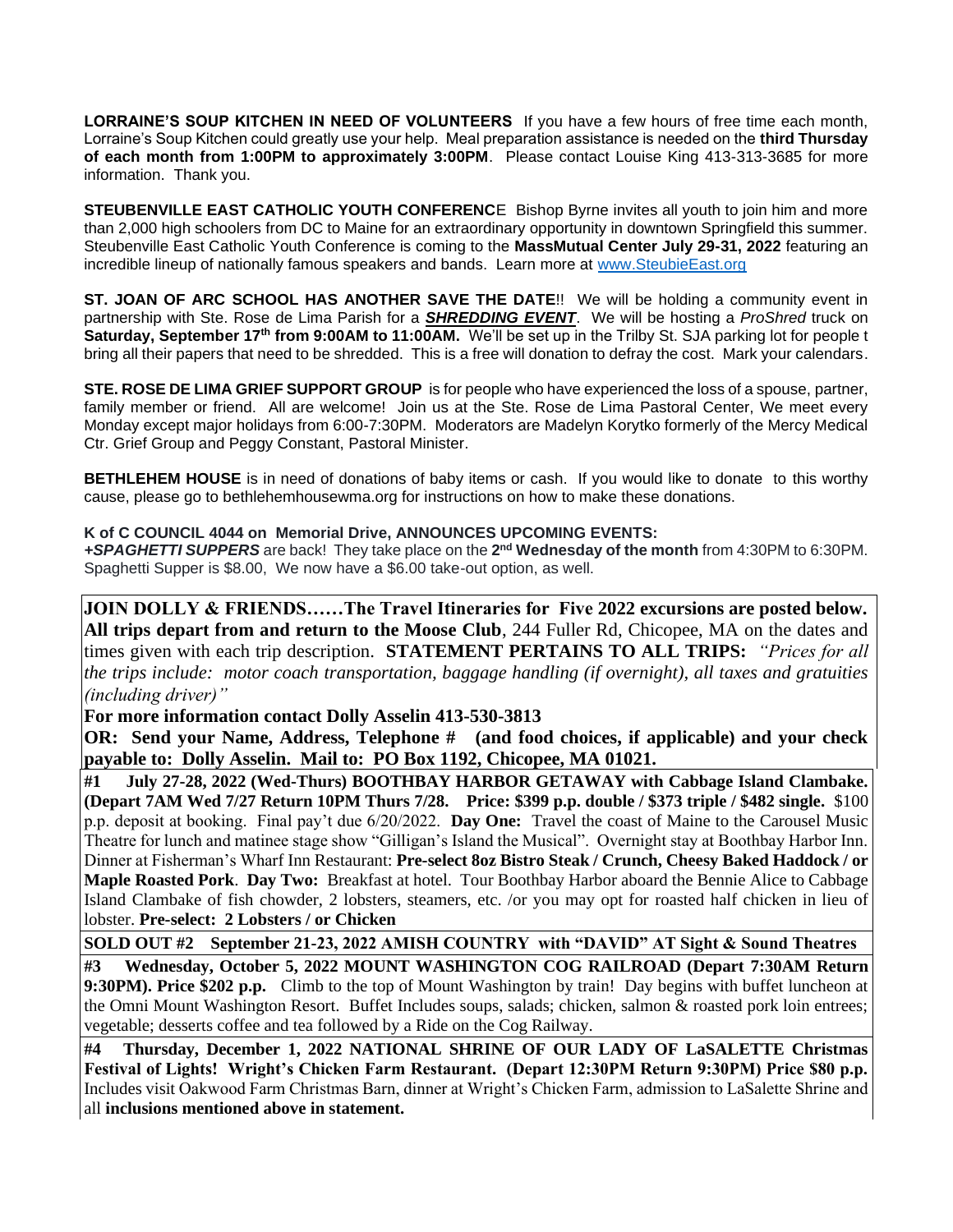**LORRAINE'S SOUP KITCHEN IN NEED OF VOLUNTEERS** If you have a few hours of free time each month, Lorraine's Soup Kitchen could greatly use your help. Meal preparation assistance is needed on the **third Thursday of each month from 1:00PM to approximately 3:00PM**. Please contact Louise King 413-313-3685 for more information. Thank you.

**STEUBENVILLE EAST CATHOLIC YOUTH CONFERENC**E Bishop Byrne invites all youth to join him and more than 2,000 high schoolers from DC to Maine for an extraordinary opportunity in downtown Springfield this summer. Steubenville East Catholic Youth Conference is coming to the **MassMutual Center July 29-31, 2022** featuring an incredible lineup of nationally famous speakers and bands. Learn more at [www.SteubieEast.org](http://www.steubieeast.org/) 

**ST. JOAN OF ARC SCHOOL HAS ANOTHER SAVE THE DATE**!! We will be holding a community event in partnership with Ste. Rose de Lima Parish for a *SHREDDING EVENT*. We will be hosting a *ProShred* truck on **Saturday, September 17th from 9:00AM to 11:00AM.** We'll be set up in the Trilby St. SJA parking lot for people t bring all their papers that need to be shredded. This is a free will donation to defray the cost. Mark your calendars.

**STE. ROSE DE LIMA GRIEF SUPPORT GROUP** is for people who have experienced the loss of a spouse, partner, family member or friend. All are welcome! Join us at the Ste. Rose de Lima Pastoral Center, We meet every Monday except major holidays from 6:00-7:30PM. Moderators are Madelyn Korytko formerly of the Mercy Medical Ctr. Grief Group and Peggy Constant, Pastoral Minister.

**BETHLEHEM HOUSE** is in need of donations of baby items or cash. If you would like to donate to this worthy cause, please go to bethlehemhousewma.org for instructions on how to make these donations.

#### **K of C COUNCIL 4044 on Memorial Drive, ANNOUNCES UPCOMING EVENTS:**

+SPAGHETTI SUPPERS are back! They take place on the 2<sup>nd</sup> Wednesday of the month from 4:30PM to 6:30PM. Spaghetti Supper is \$8.00, We now have a \$6.00 take-out option, as well.

**JOIN DOLLY & FRIENDS……The Travel Itineraries for Five 2022 excursions are posted below. All trips depart from and return to the Moose Club**, 244 Fuller Rd, Chicopee, MA on the dates and times given with each trip description. **STATEMENT PERTAINS TO ALL TRIPS:** *"Prices for all the trips include: motor coach transportation, baggage handling (if overnight), all taxes and gratuities (including driver)"* 

**For more information contact Dolly Asselin 413-530-3813**

**OR:** Send your Name, Address, Telephone # (and food choices, if applicable) and your check **payable to: Dolly Asselin. Mail to: PO Box 1192, Chicopee, MA 01021.** 

**#1 July 27-28, 2022 (Wed-Thurs) BOOTHBAY HARBOR GETAWAY with Cabbage Island Clambake. (Depart 7AM Wed 7/27 Return 10PM Thurs 7/28. Price: \$399 p.p. double / \$373 triple / \$482 single.** \$100 p.p. deposit at booking. Final pay't due 6/20/2022. **Day One:** Travel the coast of Maine to the Carousel Music Theatre for lunch and matinee stage show "Gilligan's Island the Musical". Overnight stay at Boothbay Harbor Inn. Dinner at Fisherman's Wharf Inn Restaurant: **Pre-select 8oz Bistro Steak / Crunch, Cheesy Baked Haddock / or Maple Roasted Pork**. **Day Two:** Breakfast at hotel. Tour Boothbay Harbor aboard the Bennie Alice to Cabbage Island Clambake of fish chowder, 2 lobsters, steamers, etc. /or you may opt for roasted half chicken in lieu of lobster. **Pre-select: 2 Lobsters / or Chicken**

**SOLD OUT #2 September 21-23, 2022 AMISH COUNTRY with "DAVID" AT Sight & Sound Theatres** 

**#3 Wednesday, October 5, 2022 MOUNT WASHINGTON COG RAILROAD (Depart 7:30AM Return 9:30PM). Price \$202 p.p.** Climb to the top of Mount Washington by train! Day begins with buffet luncheon at the Omni Mount Washington Resort. Buffet Includes soups, salads; chicken, salmon & roasted pork loin entrees; vegetable; desserts coffee and tea followed by a Ride on the Cog Railway.

**#4 Thursday, December 1, 2022 NATIONAL SHRINE OF OUR LADY OF LaSALETTE Christmas Festival of Lights! Wright's Chicken Farm Restaurant. (Depart 12:30PM Return 9:30PM) Price \$80 p.p.** Includes visit Oakwood Farm Christmas Barn, dinner at Wright's Chicken Farm, admission to LaSalette Shrine and all **inclusions mentioned above in statement.**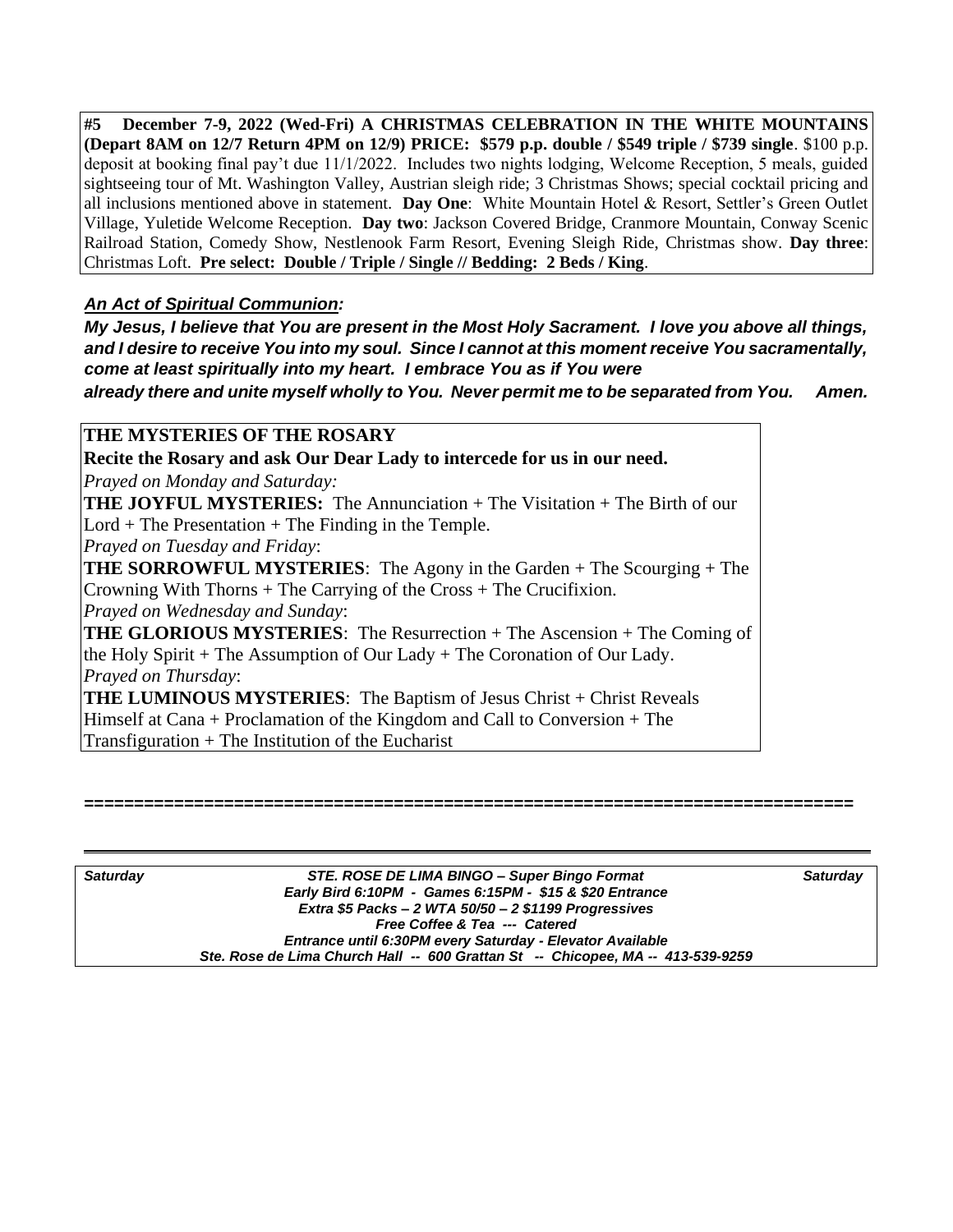**#5 December 7-9, 2022 (Wed-Fri) A CHRISTMAS CELEBRATION IN THE WHITE MOUNTAINS (Depart 8AM on 12/7 Return 4PM on 12/9) PRICE: \$579 p.p. double / \$549 triple / \$739 single**. \$100 p.p. deposit at booking final pay't due 11/1/2022. Includes two nights lodging, Welcome Reception, 5 meals, guided sightseeing tour of Mt. Washington Valley, Austrian sleigh ride; 3 Christmas Shows; special cocktail pricing and all inclusions mentioned above in statement. **Day One**: White Mountain Hotel & Resort, Settler's Green Outlet Village, Yuletide Welcome Reception. **Day two**: Jackson Covered Bridge, Cranmore Mountain, Conway Scenic Railroad Station, Comedy Show, Nestlenook Farm Resort, Evening Sleigh Ride, Christmas show. **Day three**: Christmas Loft. **Pre select: Double / Triple / Single // Bedding: 2 Beds / King**.

## *An Act of Spiritual Communion:*

*My Jesus, I believe that You are present in the Most Holy Sacrament. I love you above all things, and I desire to receive You into my soul. Since I cannot at this moment receive You sacramentally, come at least spiritually into my heart. I embrace You as if You were*

*already there and unite myself wholly to You. Never permit me to be separated from You. Amen.*

**THE MYSTERIES OF THE ROSARY**

**Recite the Rosary and ask Our Dear Lady to intercede for us in our need.**

*Prayed on Monday and Saturday:* 

**THE JOYFUL MYSTERIES:** The Annunciation + The Visitation + The Birth of our  $Lord + The Presentation + The Finding in the Temple.$ 

*Prayed on Tuesday and Friday*:

**THE SORROWFUL MYSTERIES**: The Agony in the Garden + The Scourging + The Crowning With Thorns + The Carrying of the Cross + The Crucifixion.

*Prayed on Wednesday and Sunday*:

**THE GLORIOUS MYSTERIES**: The Resurrection + The Ascension + The Coming of the Holy Spirit + The Assumption of Our Lady + The Coronation of Our Lady. *Prayed on Thursday*:

THE LUMINOUS MYSTERIES: The Baptism of Jesus Christ + Christ Reveals Himself at Cana + Proclamation of the Kingdom and Call to Conversion + The Transfiguration  $+$  The Institution of the Eucharist

#### **=============================================================================**

| <b>Saturday</b> | STE. ROSE DE LIMA BINGO – Super Bingo Format                                    | <b>Saturday</b> |
|-----------------|---------------------------------------------------------------------------------|-----------------|
|                 | Early Bird 6:10PM - Games 6:15PM - \$15 & \$20 Entrance                         |                 |
|                 | Extra \$5 Packs - 2 WTA $50/50 - 2$ \$1199 Progressives                         |                 |
|                 | Free Coffee & Tea --- Catered                                                   |                 |
|                 | Entrance until 6:30PM every Saturday - Elevator Available                       |                 |
|                 | Ste. Rose de Lima Church Hall -- 600 Grattan St -- Chicopee, MA -- 413-539-9259 |                 |
|                 |                                                                                 |                 |